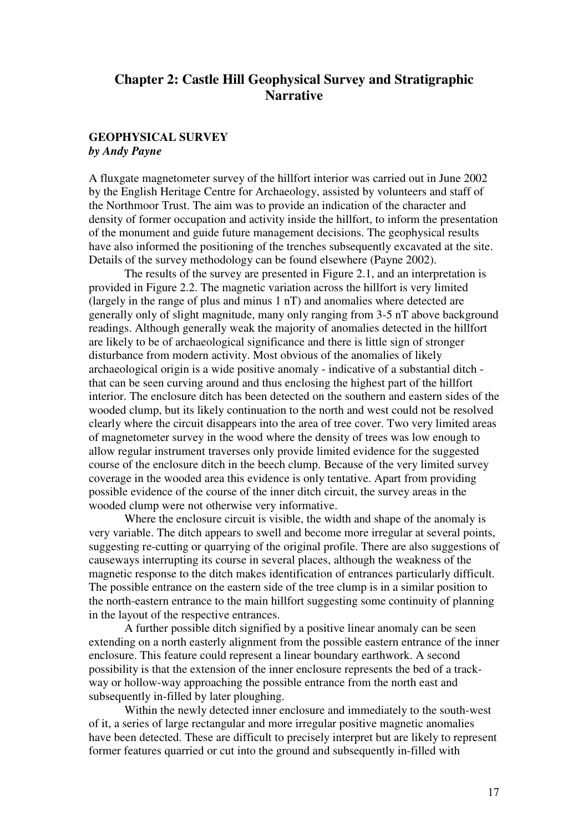# **Chapter 2: Castle Hill Geophysical Survey and Stratigraphic Narrative**

# **GEOPHYSICAL SURVEY** *by Andy Payne*

A fluxgate magnetometer survey of the hillfort interior was carried out in June 2002 by the English Heritage Centre for Archaeology, assisted by volunteers and staff of the Northmoor Trust. The aim was to provide an indication of the character and density of former occupation and activity inside the hillfort, to inform the presentation of the monument and guide future management decisions. The geophysical results have also informed the positioning of the trenches subsequently excavated at the site. Details of the survey methodology can be found elsewhere (Payne 2002).

The results of the survey are presented in Figure 2.1, and an interpretation is provided in Figure 2.2. The magnetic variation across the hillfort is very limited (largely in the range of plus and minus 1 nT) and anomalies where detected are generally only of slight magnitude, many only ranging from 3-5 nT above background readings. Although generally weak the majority of anomalies detected in the hillfort are likely to be of archaeological significance and there is little sign of stronger disturbance from modern activity. Most obvious of the anomalies of likely archaeological origin is a wide positive anomaly - indicative of a substantial ditch that can be seen curving around and thus enclosing the highest part of the hillfort interior. The enclosure ditch has been detected on the southern and eastern sides of the wooded clump, but its likely continuation to the north and west could not be resolved clearly where the circuit disappears into the area of tree cover. Two very limited areas of magnetometer survey in the wood where the density of trees was low enough to allow regular instrument traverses only provide limited evidence for the suggested course of the enclosure ditch in the beech clump. Because of the very limited survey coverage in the wooded area this evidence is only tentative. Apart from providing possible evidence of the course of the inner ditch circuit, the survey areas in the wooded clump were not otherwise very informative.

 Where the enclosure circuit is visible, the width and shape of the anomaly is very variable. The ditch appears to swell and become more irregular at several points, suggesting re-cutting or quarrying of the original profile. There are also suggestions of causeways interrupting its course in several places, although the weakness of the magnetic response to the ditch makes identification of entrances particularly difficult. The possible entrance on the eastern side of the tree clump is in a similar position to the north-eastern entrance to the main hillfort suggesting some continuity of planning in the layout of the respective entrances.

 A further possible ditch signified by a positive linear anomaly can be seen extending on a north easterly alignment from the possible eastern entrance of the inner enclosure. This feature could represent a linear boundary earthwork. A second possibility is that the extension of the inner enclosure represents the bed of a trackway or hollow-way approaching the possible entrance from the north east and subsequently in-filled by later ploughing.

 Within the newly detected inner enclosure and immediately to the south-west of it, a series of large rectangular and more irregular positive magnetic anomalies have been detected. These are difficult to precisely interpret but are likely to represent former features quarried or cut into the ground and subsequently in-filled with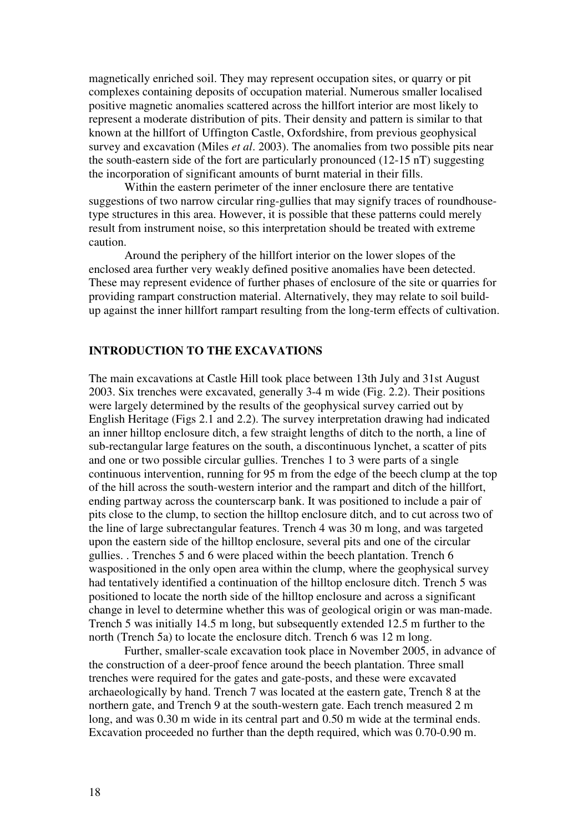magnetically enriched soil. They may represent occupation sites, or quarry or pit complexes containing deposits of occupation material. Numerous smaller localised positive magnetic anomalies scattered across the hillfort interior are most likely to represent a moderate distribution of pits. Their density and pattern is similar to that known at the hillfort of Uffington Castle, Oxfordshire, from previous geophysical survey and excavation (Miles *et al*. 2003). The anomalies from two possible pits near the south-eastern side of the fort are particularly pronounced (12-15 nT) suggesting the incorporation of significant amounts of burnt material in their fills.

 Within the eastern perimeter of the inner enclosure there are tentative suggestions of two narrow circular ring-gullies that may signify traces of roundhousetype structures in this area. However, it is possible that these patterns could merely result from instrument noise, so this interpretation should be treated with extreme caution.

 Around the periphery of the hillfort interior on the lower slopes of the enclosed area further very weakly defined positive anomalies have been detected. These may represent evidence of further phases of enclosure of the site or quarries for providing rampart construction material. Alternatively, they may relate to soil buildup against the inner hillfort rampart resulting from the long-term effects of cultivation.

# **INTRODUCTION TO THE EXCAVATIONS**

The main excavations at Castle Hill took place between 13th July and 31st August 2003. Six trenches were excavated, generally 3-4 m wide (Fig. 2.2). Their positions were largely determined by the results of the geophysical survey carried out by English Heritage (Figs 2.1 and 2.2). The survey interpretation drawing had indicated an inner hilltop enclosure ditch, a few straight lengths of ditch to the north, a line of sub-rectangular large features on the south, a discontinuous lynchet, a scatter of pits and one or two possible circular gullies. Trenches 1 to 3 were parts of a single continuous intervention, running for 95 m from the edge of the beech clump at the top of the hill across the south-western interior and the rampart and ditch of the hillfort, ending partway across the counterscarp bank. It was positioned to include a pair of pits close to the clump, to section the hilltop enclosure ditch, and to cut across two of the line of large subrectangular features. Trench 4 was 30 m long, and was targeted upon the eastern side of the hilltop enclosure, several pits and one of the circular gullies. . Trenches 5 and 6 were placed within the beech plantation. Trench 6 waspositioned in the only open area within the clump, where the geophysical survey had tentatively identified a continuation of the hilltop enclosure ditch. Trench 5 was positioned to locate the north side of the hilltop enclosure and across a significant change in level to determine whether this was of geological origin or was man-made. Trench 5 was initially 14.5 m long, but subsequently extended 12.5 m further to the north (Trench 5a) to locate the enclosure ditch. Trench 6 was 12 m long.

 Further, smaller-scale excavation took place in November 2005, in advance of the construction of a deer-proof fence around the beech plantation. Three small trenches were required for the gates and gate-posts, and these were excavated archaeologically by hand. Trench 7 was located at the eastern gate, Trench 8 at the northern gate, and Trench 9 at the south-western gate. Each trench measured 2 m long, and was 0.30 m wide in its central part and 0.50 m wide at the terminal ends. Excavation proceeded no further than the depth required, which was 0.70-0.90 m.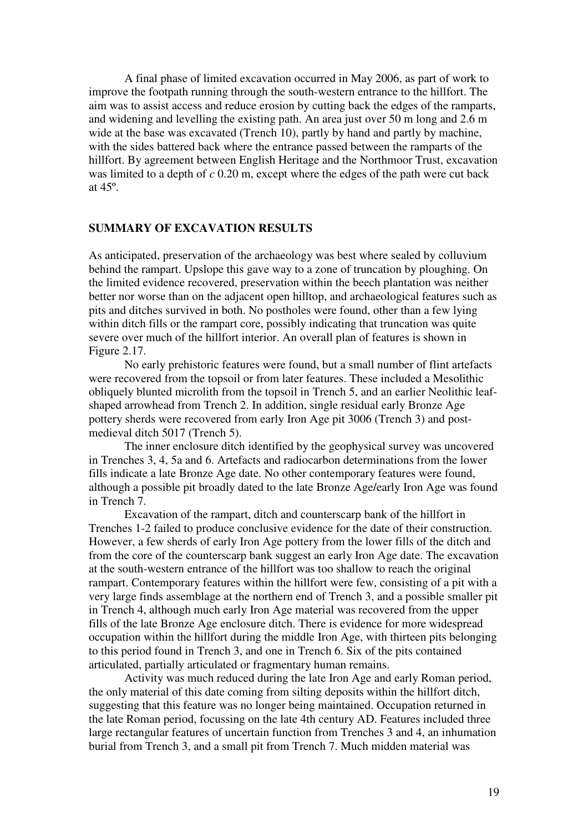A final phase of limited excavation occurred in May 2006, as part of work to improve the footpath running through the south-western entrance to the hillfort. The aim was to assist access and reduce erosion by cutting back the edges of the ramparts, and widening and levelling the existing path. An area just over 50 m long and 2.6 m wide at the base was excavated (Trench 10), partly by hand and partly by machine, with the sides battered back where the entrance passed between the ramparts of the hillfort. By agreement between English Heritage and the Northmoor Trust, excavation was limited to a depth of *c* 0.20 m, except where the edges of the path were cut back at 45º.

#### **SUMMARY OF EXCAVATION RESULTS**

As anticipated, preservation of the archaeology was best where sealed by colluvium behind the rampart. Upslope this gave way to a zone of truncation by ploughing. On the limited evidence recovered, preservation within the beech plantation was neither better nor worse than on the adjacent open hilltop, and archaeological features such as pits and ditches survived in both. No postholes were found, other than a few lying within ditch fills or the rampart core, possibly indicating that truncation was quite severe over much of the hillfort interior. An overall plan of features is shown in Figure 2.17.

 No early prehistoric features were found, but a small number of flint artefacts were recovered from the topsoil or from later features. These included a Mesolithic obliquely blunted microlith from the topsoil in Trench 5, and an earlier Neolithic leafshaped arrowhead from Trench 2. In addition, single residual early Bronze Age pottery sherds were recovered from early Iron Age pit 3006 (Trench 3) and postmedieval ditch 5017 (Trench 5).

 The inner enclosure ditch identified by the geophysical survey was uncovered in Trenches 3, 4, 5a and 6. Artefacts and radiocarbon determinations from the lower fills indicate a late Bronze Age date. No other contemporary features were found, although a possible pit broadly dated to the late Bronze Age/early Iron Age was found in Trench 7.

 Excavation of the rampart, ditch and counterscarp bank of the hillfort in Trenches 1-2 failed to produce conclusive evidence for the date of their construction. However, a few sherds of early Iron Age pottery from the lower fills of the ditch and from the core of the counterscarp bank suggest an early Iron Age date. The excavation at the south-western entrance of the hillfort was too shallow to reach the original rampart. Contemporary features within the hillfort were few, consisting of a pit with a very large finds assemblage at the northern end of Trench 3, and a possible smaller pit in Trench 4, although much early Iron Age material was recovered from the upper fills of the late Bronze Age enclosure ditch. There is evidence for more widespread occupation within the hillfort during the middle Iron Age, with thirteen pits belonging to this period found in Trench 3, and one in Trench 6. Six of the pits contained articulated, partially articulated or fragmentary human remains.

 Activity was much reduced during the late Iron Age and early Roman period, the only material of this date coming from silting deposits within the hillfort ditch, suggesting that this feature was no longer being maintained. Occupation returned in the late Roman period, focussing on the late 4th century AD. Features included three large rectangular features of uncertain function from Trenches 3 and 4, an inhumation burial from Trench 3, and a small pit from Trench 7. Much midden material was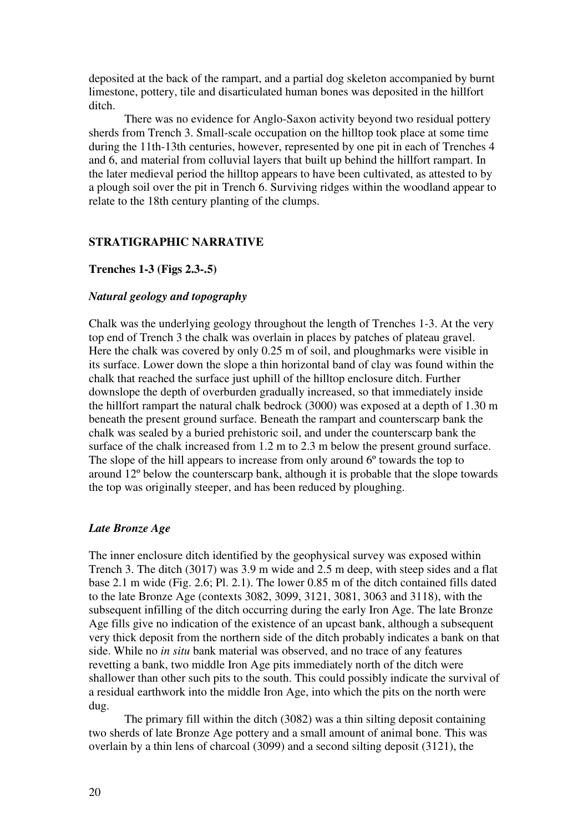deposited at the back of the rampart, and a partial dog skeleton accompanied by burnt limestone, pottery, tile and disarticulated human bones was deposited in the hillfort ditch.

There was no evidence for Anglo-Saxon activity beyond two residual pottery sherds from Trench 3. Small-scale occupation on the hilltop took place at some time during the 11th-13th centuries, however, represented by one pit in each of Trenches 4 and 6, and material from colluvial layers that built up behind the hillfort rampart. In the later medieval period the hilltop appears to have been cultivated, as attested to by a plough soil over the pit in Trench 6. Surviving ridges within the woodland appear to relate to the 18th century planting of the clumps.

### **STRATIGRAPHIC NARRATIVE**

#### **Trenches 1-3 (Figs 2.3-.5)**

### *Natural geology and topography*

Chalk was the underlying geology throughout the length of Trenches 1-3. At the very top end of Trench 3 the chalk was overlain in places by patches of plateau gravel. Here the chalk was covered by only 0.25 m of soil, and ploughmarks were visible in its surface. Lower down the slope a thin horizontal band of clay was found within the chalk that reached the surface just uphill of the hilltop enclosure ditch. Further downslope the depth of overburden gradually increased, so that immediately inside the hillfort rampart the natural chalk bedrock (3000) was exposed at a depth of 1.30 m beneath the present ground surface. Beneath the rampart and counterscarp bank the chalk was sealed by a buried prehistoric soil, and under the counterscarp bank the surface of the chalk increased from 1.2 m to 2.3 m below the present ground surface. The slope of the hill appears to increase from only around 6<sup>o</sup> towards the top to around 12º below the counterscarp bank, although it is probable that the slope towards the top was originally steeper, and has been reduced by ploughing.

#### *Late Bronze Age*

The inner enclosure ditch identified by the geophysical survey was exposed within Trench 3. The ditch (3017) was 3.9 m wide and 2.5 m deep, with steep sides and a flat base 2.1 m wide (Fig. 2.6; Pl. 2.1). The lower 0.85 m of the ditch contained fills dated to the late Bronze Age (contexts 3082, 3099, 3121, 3081, 3063 and 3118), with the subsequent infilling of the ditch occurring during the early Iron Age. The late Bronze Age fills give no indication of the existence of an upcast bank, although a subsequent very thick deposit from the northern side of the ditch probably indicates a bank on that side. While no *in situ* bank material was observed, and no trace of any features revetting a bank, two middle Iron Age pits immediately north of the ditch were shallower than other such pits to the south. This could possibly indicate the survival of a residual earthwork into the middle Iron Age, into which the pits on the north were dug.

The primary fill within the ditch (3082) was a thin silting deposit containing two sherds of late Bronze Age pottery and a small amount of animal bone. This was overlain by a thin lens of charcoal (3099) and a second silting deposit (3121), the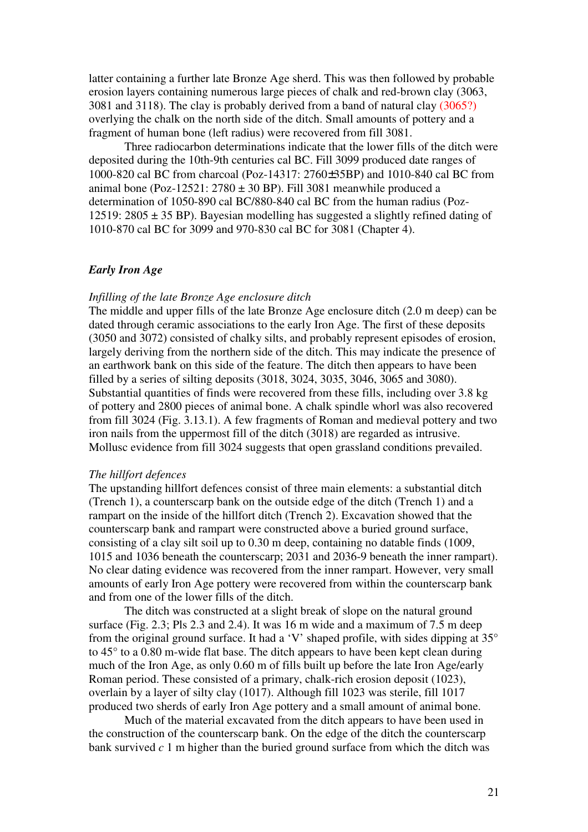latter containing a further late Bronze Age sherd. This was then followed by probable erosion layers containing numerous large pieces of chalk and red-brown clay (3063, 3081 and 3118). The clay is probably derived from a band of natural clay (3065?) overlying the chalk on the north side of the ditch. Small amounts of pottery and a fragment of human bone (left radius) were recovered from fill 3081.

Three radiocarbon determinations indicate that the lower fills of the ditch were deposited during the 10th-9th centuries cal BC. Fill 3099 produced date ranges of 1000-820 cal BC from charcoal (Poz-14317: 2760±35BP) and 1010-840 cal BC from animal bone (Poz-12521:  $2780 \pm 30$  BP). Fill 3081 meanwhile produced a determination of 1050-890 cal BC/880-840 cal BC from the human radius (Poz-12519: 2805  $\pm$  35 BP). Bayesian modelling has suggested a slightly refined dating of 1010-870 cal BC for 3099 and 970-830 cal BC for 3081 (Chapter 4).

#### *Early Iron Age*

### *Infilling of the late Bronze Age enclosure ditch*

The middle and upper fills of the late Bronze Age enclosure ditch (2.0 m deep) can be dated through ceramic associations to the early Iron Age. The first of these deposits (3050 and 3072) consisted of chalky silts, and probably represent episodes of erosion, largely deriving from the northern side of the ditch. This may indicate the presence of an earthwork bank on this side of the feature. The ditch then appears to have been filled by a series of silting deposits (3018, 3024, 3035, 3046, 3065 and 3080). Substantial quantities of finds were recovered from these fills, including over 3.8 kg of pottery and 2800 pieces of animal bone. A chalk spindle whorl was also recovered from fill 3024 (Fig. 3.13.1). A few fragments of Roman and medieval pottery and two iron nails from the uppermost fill of the ditch (3018) are regarded as intrusive. Mollusc evidence from fill 3024 suggests that open grassland conditions prevailed.

#### *The hillfort defences*

The upstanding hillfort defences consist of three main elements: a substantial ditch (Trench 1), a counterscarp bank on the outside edge of the ditch (Trench 1) and a rampart on the inside of the hillfort ditch (Trench 2). Excavation showed that the counterscarp bank and rampart were constructed above a buried ground surface, consisting of a clay silt soil up to 0.30 m deep, containing no datable finds (1009, 1015 and 1036 beneath the counterscarp; 2031 and 2036-9 beneath the inner rampart). No clear dating evidence was recovered from the inner rampart. However, very small amounts of early Iron Age pottery were recovered from within the counterscarp bank and from one of the lower fills of the ditch.

 The ditch was constructed at a slight break of slope on the natural ground surface (Fig. 2.3; Pls 2.3 and 2.4). It was 16 m wide and a maximum of 7.5 m deep from the original ground surface. It had a 'V' shaped profile, with sides dipping at 35° to 45° to a 0.80 m-wide flat base. The ditch appears to have been kept clean during much of the Iron Age, as only 0.60 m of fills built up before the late Iron Age/early Roman period. These consisted of a primary, chalk-rich erosion deposit (1023), overlain by a layer of silty clay (1017). Although fill 1023 was sterile, fill 1017 produced two sherds of early Iron Age pottery and a small amount of animal bone.

Much of the material excavated from the ditch appears to have been used in the construction of the counterscarp bank. On the edge of the ditch the counterscarp bank survived  $c<sub>1</sub>$  m higher than the buried ground surface from which the ditch was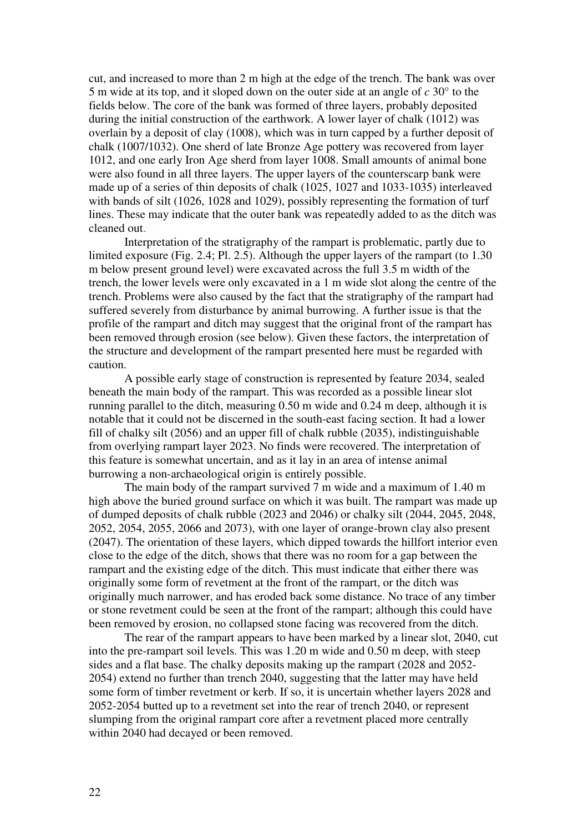cut, and increased to more than 2 m high at the edge of the trench. The bank was over 5 m wide at its top, and it sloped down on the outer side at an angle of *c* 30° to the fields below. The core of the bank was formed of three layers, probably deposited during the initial construction of the earthwork. A lower layer of chalk (1012) was overlain by a deposit of clay (1008), which was in turn capped by a further deposit of chalk (1007/1032). One sherd of late Bronze Age pottery was recovered from layer 1012, and one early Iron Age sherd from layer 1008. Small amounts of animal bone were also found in all three layers. The upper layers of the counterscarp bank were made up of a series of thin deposits of chalk (1025, 1027 and 1033-1035) interleaved with bands of silt (1026, 1028 and 1029), possibly representing the formation of turf lines. These may indicate that the outer bank was repeatedly added to as the ditch was cleaned out.

Interpretation of the stratigraphy of the rampart is problematic, partly due to limited exposure (Fig. 2.4; Pl. 2.5). Although the upper layers of the rampart (to 1.30 m below present ground level) were excavated across the full 3.5 m width of the trench, the lower levels were only excavated in a 1 m wide slot along the centre of the trench. Problems were also caused by the fact that the stratigraphy of the rampart had suffered severely from disturbance by animal burrowing. A further issue is that the profile of the rampart and ditch may suggest that the original front of the rampart has been removed through erosion (see below). Given these factors, the interpretation of the structure and development of the rampart presented here must be regarded with caution.

A possible early stage of construction is represented by feature 2034, sealed beneath the main body of the rampart. This was recorded as a possible linear slot running parallel to the ditch, measuring 0.50 m wide and 0.24 m deep, although it is notable that it could not be discerned in the south-east facing section. It had a lower fill of chalky silt (2056) and an upper fill of chalk rubble (2035), indistinguishable from overlying rampart layer 2023. No finds were recovered. The interpretation of this feature is somewhat uncertain, and as it lay in an area of intense animal burrowing a non-archaeological origin is entirely possible.

The main body of the rampart survived 7 m wide and a maximum of 1.40 m high above the buried ground surface on which it was built. The rampart was made up of dumped deposits of chalk rubble (2023 and 2046) or chalky silt (2044, 2045, 2048, 2052, 2054, 2055, 2066 and 2073), with one layer of orange-brown clay also present (2047). The orientation of these layers, which dipped towards the hillfort interior even close to the edge of the ditch, shows that there was no room for a gap between the rampart and the existing edge of the ditch. This must indicate that either there was originally some form of revetment at the front of the rampart, or the ditch was originally much narrower, and has eroded back some distance. No trace of any timber or stone revetment could be seen at the front of the rampart; although this could have been removed by erosion, no collapsed stone facing was recovered from the ditch.

The rear of the rampart appears to have been marked by a linear slot, 2040, cut into the pre-rampart soil levels. This was 1.20 m wide and 0.50 m deep, with steep sides and a flat base. The chalky deposits making up the rampart (2028 and 2052- 2054) extend no further than trench 2040, suggesting that the latter may have held some form of timber revetment or kerb. If so, it is uncertain whether layers 2028 and 2052-2054 butted up to a revetment set into the rear of trench 2040, or represent slumping from the original rampart core after a revetment placed more centrally within 2040 had decayed or been removed.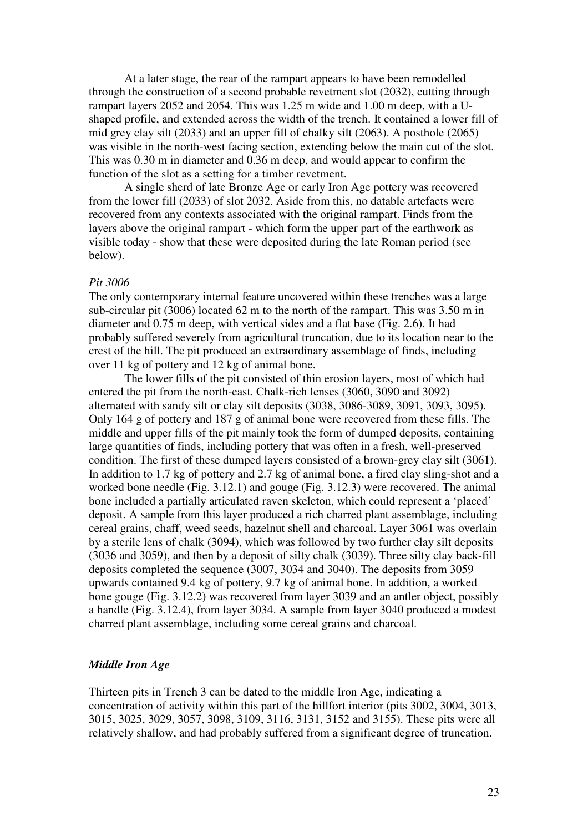At a later stage, the rear of the rampart appears to have been remodelled through the construction of a second probable revetment slot (2032), cutting through rampart layers 2052 and 2054. This was 1.25 m wide and 1.00 m deep, with a Ushaped profile, and extended across the width of the trench. It contained a lower fill of mid grey clay silt (2033) and an upper fill of chalky silt (2063). A posthole (2065) was visible in the north-west facing section, extending below the main cut of the slot. This was 0.30 m in diameter and 0.36 m deep, and would appear to confirm the function of the slot as a setting for a timber revetment.

A single sherd of late Bronze Age or early Iron Age pottery was recovered from the lower fill (2033) of slot 2032. Aside from this, no datable artefacts were recovered from any contexts associated with the original rampart. Finds from the layers above the original rampart - which form the upper part of the earthwork as visible today - show that these were deposited during the late Roman period (see below).

#### *Pit 3006*

The only contemporary internal feature uncovered within these trenches was a large sub-circular pit (3006) located 62 m to the north of the rampart. This was 3.50 m in diameter and 0.75 m deep, with vertical sides and a flat base (Fig. 2.6). It had probably suffered severely from agricultural truncation, due to its location near to the crest of the hill. The pit produced an extraordinary assemblage of finds, including over 11 kg of pottery and 12 kg of animal bone.

The lower fills of the pit consisted of thin erosion layers, most of which had entered the pit from the north-east. Chalk-rich lenses (3060, 3090 and 3092) alternated with sandy silt or clay silt deposits (3038, 3086-3089, 3091, 3093, 3095). Only 164 g of pottery and 187 g of animal bone were recovered from these fills. The middle and upper fills of the pit mainly took the form of dumped deposits, containing large quantities of finds, including pottery that was often in a fresh, well-preserved condition. The first of these dumped layers consisted of a brown-grey clay silt (3061). In addition to 1.7 kg of pottery and 2.7 kg of animal bone, a fired clay sling-shot and a worked bone needle (Fig. 3.12.1) and gouge (Fig. 3.12.3) were recovered. The animal bone included a partially articulated raven skeleton, which could represent a 'placed' deposit. A sample from this layer produced a rich charred plant assemblage, including cereal grains, chaff, weed seeds, hazelnut shell and charcoal. Layer 3061 was overlain by a sterile lens of chalk (3094), which was followed by two further clay silt deposits (3036 and 3059), and then by a deposit of silty chalk (3039). Three silty clay back-fill deposits completed the sequence (3007, 3034 and 3040). The deposits from 3059 upwards contained 9.4 kg of pottery, 9.7 kg of animal bone. In addition, a worked bone gouge (Fig. 3.12.2) was recovered from layer 3039 and an antler object, possibly a handle (Fig. 3.12.4), from layer 3034. A sample from layer 3040 produced a modest charred plant assemblage, including some cereal grains and charcoal.

### *Middle Iron Age*

Thirteen pits in Trench 3 can be dated to the middle Iron Age, indicating a concentration of activity within this part of the hillfort interior (pits 3002, 3004, 3013, 3015, 3025, 3029, 3057, 3098, 3109, 3116, 3131, 3152 and 3155). These pits were all relatively shallow, and had probably suffered from a significant degree of truncation.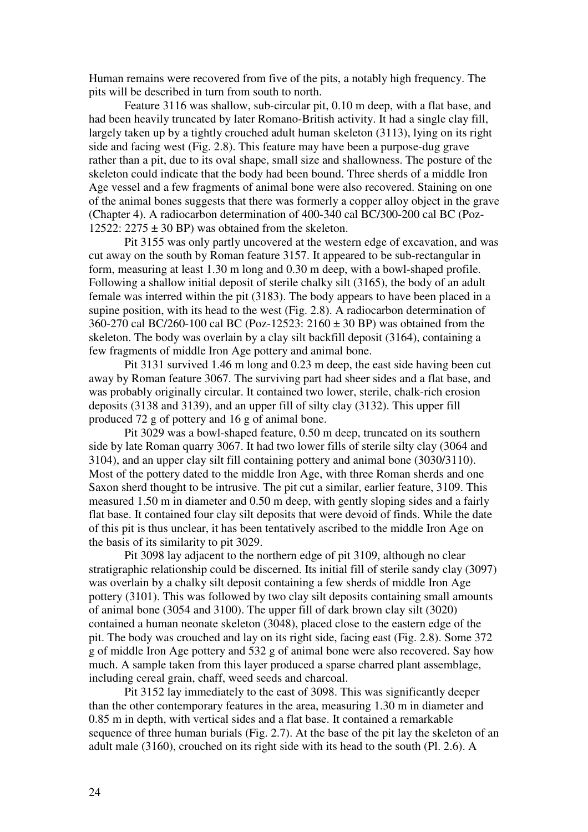Human remains were recovered from five of the pits, a notably high frequency. The pits will be described in turn from south to north.

 Feature 3116 was shallow, sub-circular pit, 0.10 m deep, with a flat base, and had been heavily truncated by later Romano-British activity. It had a single clay fill, largely taken up by a tightly crouched adult human skeleton (3113), lying on its right side and facing west (Fig. 2.8). This feature may have been a purpose-dug grave rather than a pit, due to its oval shape, small size and shallowness. The posture of the skeleton could indicate that the body had been bound. Three sherds of a middle Iron Age vessel and a few fragments of animal bone were also recovered. Staining on one of the animal bones suggests that there was formerly a copper alloy object in the grave (Chapter 4). A radiocarbon determination of 400-340 cal BC/300-200 cal BC (Poz-12522:  $2275 \pm 30$  BP) was obtained from the skeleton.

 Pit 3155 was only partly uncovered at the western edge of excavation, and was cut away on the south by Roman feature 3157. It appeared to be sub-rectangular in form, measuring at least 1.30 m long and 0.30 m deep, with a bowl-shaped profile. Following a shallow initial deposit of sterile chalky silt (3165), the body of an adult female was interred within the pit (3183). The body appears to have been placed in a supine position, with its head to the west (Fig. 2.8). A radiocarbon determination of 360-270 cal BC/260-100 cal BC (Poz-12523: 2160 ± 30 BP) was obtained from the skeleton. The body was overlain by a clay silt backfill deposit (3164), containing a few fragments of middle Iron Age pottery and animal bone.

 Pit 3131 survived 1.46 m long and 0.23 m deep, the east side having been cut away by Roman feature 3067. The surviving part had sheer sides and a flat base, and was probably originally circular. It contained two lower, sterile, chalk-rich erosion deposits (3138 and 3139), and an upper fill of silty clay (3132). This upper fill produced 72 g of pottery and 16 g of animal bone.

Pit 3029 was a bowl-shaped feature, 0.50 m deep, truncated on its southern side by late Roman quarry 3067. It had two lower fills of sterile silty clay (3064 and 3104), and an upper clay silt fill containing pottery and animal bone (3030/3110). Most of the pottery dated to the middle Iron Age, with three Roman sherds and one Saxon sherd thought to be intrusive. The pit cut a similar, earlier feature, 3109. This measured 1.50 m in diameter and 0.50 m deep, with gently sloping sides and a fairly flat base. It contained four clay silt deposits that were devoid of finds. While the date of this pit is thus unclear, it has been tentatively ascribed to the middle Iron Age on the basis of its similarity to pit 3029.

Pit 3098 lay adjacent to the northern edge of pit 3109, although no clear stratigraphic relationship could be discerned. Its initial fill of sterile sandy clay (3097) was overlain by a chalky silt deposit containing a few sherds of middle Iron Age pottery (3101). This was followed by two clay silt deposits containing small amounts of animal bone (3054 and 3100). The upper fill of dark brown clay silt (3020) contained a human neonate skeleton (3048), placed close to the eastern edge of the pit. The body was crouched and lay on its right side, facing east (Fig. 2.8). Some 372 g of middle Iron Age pottery and 532 g of animal bone were also recovered. Say how much. A sample taken from this layer produced a sparse charred plant assemblage, including cereal grain, chaff, weed seeds and charcoal.

 Pit 3152 lay immediately to the east of 3098. This was significantly deeper than the other contemporary features in the area, measuring 1.30 m in diameter and 0.85 m in depth, with vertical sides and a flat base. It contained a remarkable sequence of three human burials (Fig. 2.7). At the base of the pit lay the skeleton of an adult male (3160), crouched on its right side with its head to the south (Pl. 2.6). A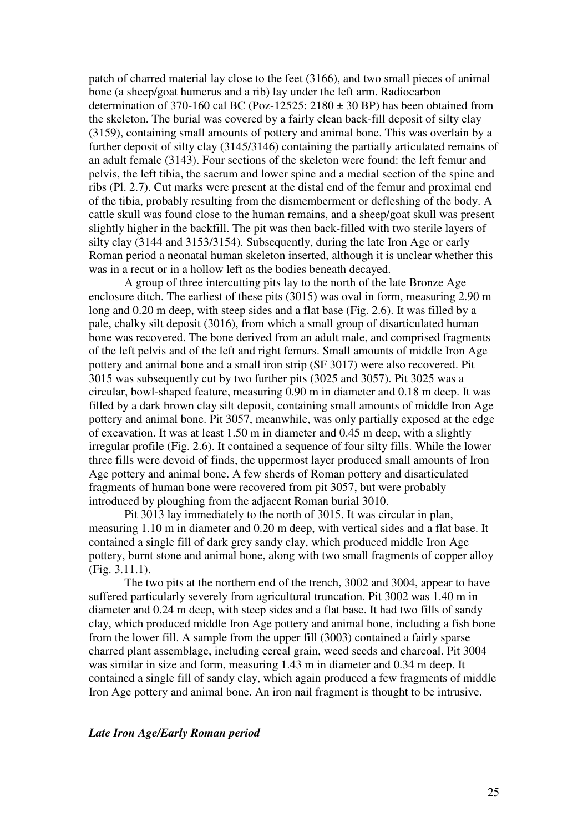patch of charred material lay close to the feet (3166), and two small pieces of animal bone (a sheep/goat humerus and a rib) lay under the left arm. Radiocarbon determination of 370-160 cal BC (Poz-12525:  $2180 \pm 30$  BP) has been obtained from the skeleton. The burial was covered by a fairly clean back-fill deposit of silty clay (3159), containing small amounts of pottery and animal bone. This was overlain by a further deposit of silty clay (3145/3146) containing the partially articulated remains of an adult female (3143). Four sections of the skeleton were found: the left femur and pelvis, the left tibia, the sacrum and lower spine and a medial section of the spine and ribs (Pl. 2.7). Cut marks were present at the distal end of the femur and proximal end of the tibia, probably resulting from the dismemberment or defleshing of the body. A cattle skull was found close to the human remains, and a sheep/goat skull was present slightly higher in the backfill. The pit was then back-filled with two sterile layers of silty clay (3144 and 3153/3154). Subsequently, during the late Iron Age or early Roman period a neonatal human skeleton inserted, although it is unclear whether this was in a recut or in a hollow left as the bodies beneath decayed.

 A group of three intercutting pits lay to the north of the late Bronze Age enclosure ditch. The earliest of these pits (3015) was oval in form, measuring 2.90 m long and 0.20 m deep, with steep sides and a flat base (Fig. 2.6). It was filled by a pale, chalky silt deposit (3016), from which a small group of disarticulated human bone was recovered. The bone derived from an adult male, and comprised fragments of the left pelvis and of the left and right femurs. Small amounts of middle Iron Age pottery and animal bone and a small iron strip (SF 3017) were also recovered. Pit 3015 was subsequently cut by two further pits (3025 and 3057). Pit 3025 was a circular, bowl-shaped feature, measuring 0.90 m in diameter and 0.18 m deep. It was filled by a dark brown clay silt deposit, containing small amounts of middle Iron Age pottery and animal bone. Pit 3057, meanwhile, was only partially exposed at the edge of excavation. It was at least 1.50 m in diameter and 0.45 m deep, with a slightly irregular profile (Fig. 2.6). It contained a sequence of four silty fills. While the lower three fills were devoid of finds, the uppermost layer produced small amounts of Iron Age pottery and animal bone. A few sherds of Roman pottery and disarticulated fragments of human bone were recovered from pit 3057, but were probably introduced by ploughing from the adjacent Roman burial 3010.

 Pit 3013 lay immediately to the north of 3015. It was circular in plan, measuring 1.10 m in diameter and 0.20 m deep, with vertical sides and a flat base. It contained a single fill of dark grey sandy clay, which produced middle Iron Age pottery, burnt stone and animal bone, along with two small fragments of copper alloy (Fig. 3.11.1).

The two pits at the northern end of the trench, 3002 and 3004, appear to have suffered particularly severely from agricultural truncation. Pit 3002 was 1.40 m in diameter and 0.24 m deep, with steep sides and a flat base. It had two fills of sandy clay, which produced middle Iron Age pottery and animal bone, including a fish bone from the lower fill. A sample from the upper fill (3003) contained a fairly sparse charred plant assemblage, including cereal grain, weed seeds and charcoal. Pit 3004 was similar in size and form, measuring 1.43 m in diameter and 0.34 m deep. It contained a single fill of sandy clay, which again produced a few fragments of middle Iron Age pottery and animal bone. An iron nail fragment is thought to be intrusive.

#### *Late Iron Age/Early Roman period*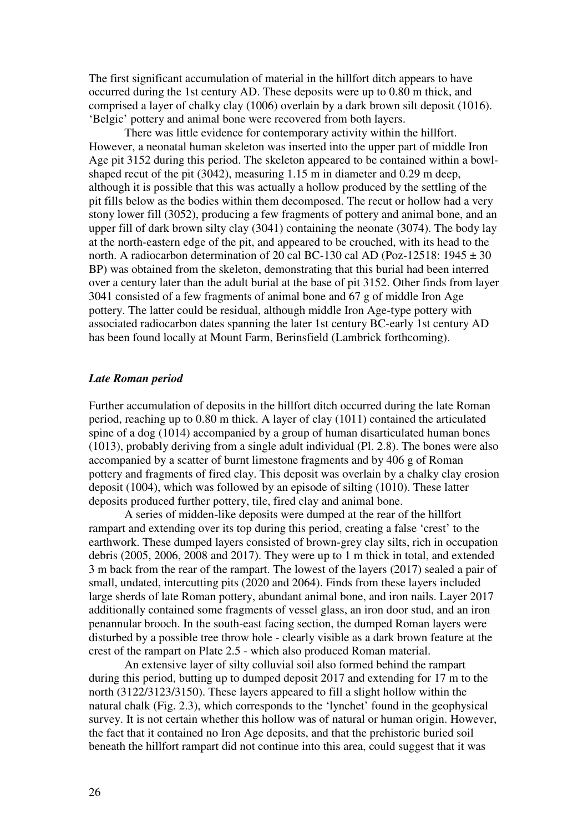The first significant accumulation of material in the hillfort ditch appears to have occurred during the 1st century AD. These deposits were up to 0.80 m thick, and comprised a layer of chalky clay (1006) overlain by a dark brown silt deposit (1016). 'Belgic' pottery and animal bone were recovered from both layers.

 There was little evidence for contemporary activity within the hillfort. However, a neonatal human skeleton was inserted into the upper part of middle Iron Age pit 3152 during this period. The skeleton appeared to be contained within a bowlshaped recut of the pit (3042), measuring 1.15 m in diameter and 0.29 m deep, although it is possible that this was actually a hollow produced by the settling of the pit fills below as the bodies within them decomposed. The recut or hollow had a very stony lower fill (3052), producing a few fragments of pottery and animal bone, and an upper fill of dark brown silty clay (3041) containing the neonate (3074). The body lay at the north-eastern edge of the pit, and appeared to be crouched, with its head to the north. A radiocarbon determination of 20 cal BC-130 cal AD (Poz-12518:  $1945 \pm 30$ ) BP) was obtained from the skeleton, demonstrating that this burial had been interred over a century later than the adult burial at the base of pit 3152. Other finds from layer 3041 consisted of a few fragments of animal bone and 67 g of middle Iron Age pottery. The latter could be residual, although middle Iron Age-type pottery with associated radiocarbon dates spanning the later 1st century BC-early 1st century AD has been found locally at Mount Farm, Berinsfield (Lambrick forthcoming).

#### *Late Roman period*

Further accumulation of deposits in the hillfort ditch occurred during the late Roman period, reaching up to 0.80 m thick. A layer of clay (1011) contained the articulated spine of a dog (1014) accompanied by a group of human disarticulated human bones (1013), probably deriving from a single adult individual (Pl. 2.8). The bones were also accompanied by a scatter of burnt limestone fragments and by 406 g of Roman pottery and fragments of fired clay. This deposit was overlain by a chalky clay erosion deposit (1004), which was followed by an episode of silting (1010). These latter deposits produced further pottery, tile, fired clay and animal bone.

A series of midden-like deposits were dumped at the rear of the hillfort rampart and extending over its top during this period, creating a false 'crest' to the earthwork. These dumped layers consisted of brown-grey clay silts, rich in occupation debris (2005, 2006, 2008 and 2017). They were up to 1 m thick in total, and extended 3 m back from the rear of the rampart. The lowest of the layers (2017) sealed a pair of small, undated, intercutting pits (2020 and 2064). Finds from these layers included large sherds of late Roman pottery, abundant animal bone, and iron nails. Layer 2017 additionally contained some fragments of vessel glass, an iron door stud, and an iron penannular brooch. In the south-east facing section, the dumped Roman layers were disturbed by a possible tree throw hole - clearly visible as a dark brown feature at the crest of the rampart on Plate 2.5 - which also produced Roman material.

 An extensive layer of silty colluvial soil also formed behind the rampart during this period, butting up to dumped deposit 2017 and extending for 17 m to the north (3122/3123/3150). These layers appeared to fill a slight hollow within the natural chalk (Fig. 2.3), which corresponds to the 'lynchet' found in the geophysical survey. It is not certain whether this hollow was of natural or human origin. However, the fact that it contained no Iron Age deposits, and that the prehistoric buried soil beneath the hillfort rampart did not continue into this area, could suggest that it was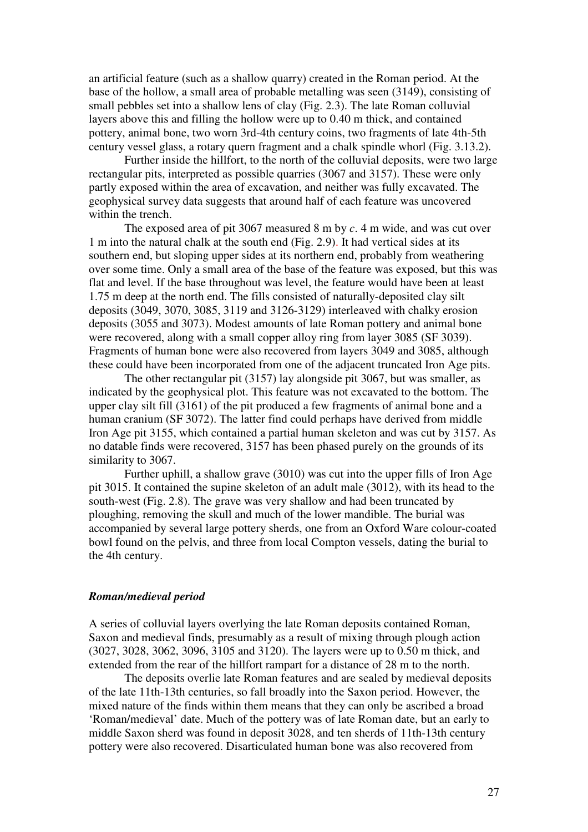an artificial feature (such as a shallow quarry) created in the Roman period. At the base of the hollow, a small area of probable metalling was seen (3149), consisting of small pebbles set into a shallow lens of clay (Fig. 2.3). The late Roman colluvial layers above this and filling the hollow were up to 0.40 m thick, and contained pottery, animal bone, two worn 3rd-4th century coins, two fragments of late 4th-5th century vessel glass, a rotary quern fragment and a chalk spindle whorl (Fig. 3.13.2).

 Further inside the hillfort, to the north of the colluvial deposits, were two large rectangular pits, interpreted as possible quarries (3067 and 3157). These were only partly exposed within the area of excavation, and neither was fully excavated. The geophysical survey data suggests that around half of each feature was uncovered within the trench.

The exposed area of pit 3067 measured 8 m by *c*. 4 m wide, and was cut over 1 m into the natural chalk at the south end (Fig. 2.9). It had vertical sides at its southern end, but sloping upper sides at its northern end, probably from weathering over some time. Only a small area of the base of the feature was exposed, but this was flat and level. If the base throughout was level, the feature would have been at least 1.75 m deep at the north end. The fills consisted of naturally-deposited clay silt deposits (3049, 3070, 3085, 3119 and 3126-3129) interleaved with chalky erosion deposits (3055 and 3073). Modest amounts of late Roman pottery and animal bone were recovered, along with a small copper alloy ring from layer 3085 (SF 3039). Fragments of human bone were also recovered from layers 3049 and 3085, although these could have been incorporated from one of the adjacent truncated Iron Age pits.

 The other rectangular pit (3157) lay alongside pit 3067, but was smaller, as indicated by the geophysical plot. This feature was not excavated to the bottom. The upper clay silt fill (3161) of the pit produced a few fragments of animal bone and a human cranium (SF 3072). The latter find could perhaps have derived from middle Iron Age pit 3155, which contained a partial human skeleton and was cut by 3157. As no datable finds were recovered, 3157 has been phased purely on the grounds of its similarity to 3067.

 Further uphill, a shallow grave (3010) was cut into the upper fills of Iron Age pit 3015. It contained the supine skeleton of an adult male (3012), with its head to the south-west (Fig. 2.8). The grave was very shallow and had been truncated by ploughing, removing the skull and much of the lower mandible. The burial was accompanied by several large pottery sherds, one from an Oxford Ware colour-coated bowl found on the pelvis, and three from local Compton vessels, dating the burial to the 4th century.

#### *Roman/medieval period*

A series of colluvial layers overlying the late Roman deposits contained Roman, Saxon and medieval finds, presumably as a result of mixing through plough action (3027, 3028, 3062, 3096, 3105 and 3120). The layers were up to 0.50 m thick, and extended from the rear of the hillfort rampart for a distance of 28 m to the north.

The deposits overlie late Roman features and are sealed by medieval deposits of the late 11th-13th centuries, so fall broadly into the Saxon period. However, the mixed nature of the finds within them means that they can only be ascribed a broad 'Roman/medieval' date. Much of the pottery was of late Roman date, but an early to middle Saxon sherd was found in deposit 3028, and ten sherds of 11th-13th century pottery were also recovered. Disarticulated human bone was also recovered from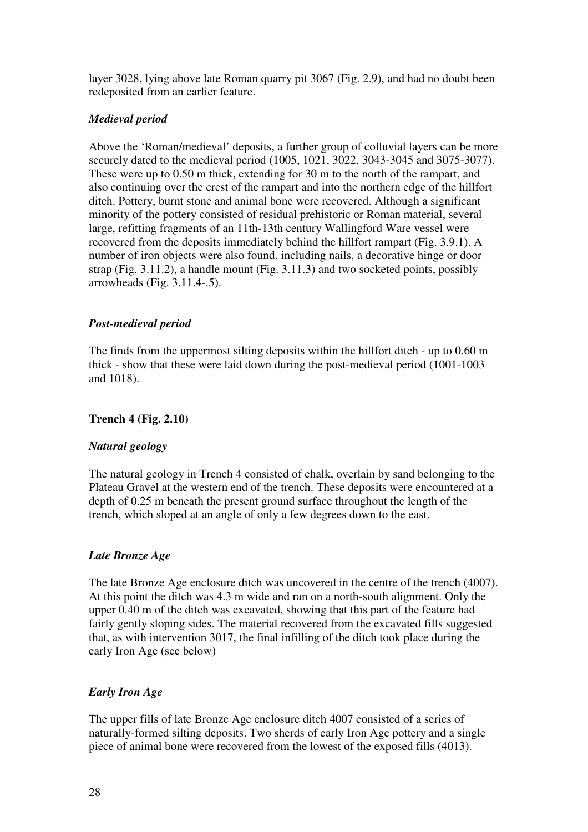layer 3028, lying above late Roman quarry pit 3067 (Fig. 2.9), and had no doubt been redeposited from an earlier feature.

# *Medieval period*

Above the 'Roman/medieval' deposits, a further group of colluvial layers can be more securely dated to the medieval period (1005, 1021, 3022, 3043-3045 and 3075-3077). These were up to 0.50 m thick, extending for 30 m to the north of the rampart, and also continuing over the crest of the rampart and into the northern edge of the hillfort ditch. Pottery, burnt stone and animal bone were recovered. Although a significant minority of the pottery consisted of residual prehistoric or Roman material, several large, refitting fragments of an 11th-13th century Wallingford Ware vessel were recovered from the deposits immediately behind the hillfort rampart (Fig. 3.9.1). A number of iron objects were also found, including nails, a decorative hinge or door strap (Fig. 3.11.2), a handle mount (Fig. 3.11.3) and two socketed points, possibly arrowheads (Fig. 3.11.4-.5).

# *Post-medieval period*

The finds from the uppermost silting deposits within the hillfort ditch - up to 0.60 m thick - show that these were laid down during the post-medieval period (1001-1003 and 1018).

# **Trench 4 (Fig. 2.10)**

# *Natural geology*

The natural geology in Trench 4 consisted of chalk, overlain by sand belonging to the Plateau Gravel at the western end of the trench. These deposits were encountered at a depth of 0.25 m beneath the present ground surface throughout the length of the trench, which sloped at an angle of only a few degrees down to the east.

# *Late Bronze Age*

The late Bronze Age enclosure ditch was uncovered in the centre of the trench (4007). At this point the ditch was 4.3 m wide and ran on a north-south alignment. Only the upper 0.40 m of the ditch was excavated, showing that this part of the feature had fairly gently sloping sides. The material recovered from the excavated fills suggested that, as with intervention 3017, the final infilling of the ditch took place during the early Iron Age (see below)

# *Early Iron Age*

The upper fills of late Bronze Age enclosure ditch 4007 consisted of a series of naturally-formed silting deposits. Two sherds of early Iron Age pottery and a single piece of animal bone were recovered from the lowest of the exposed fills (4013).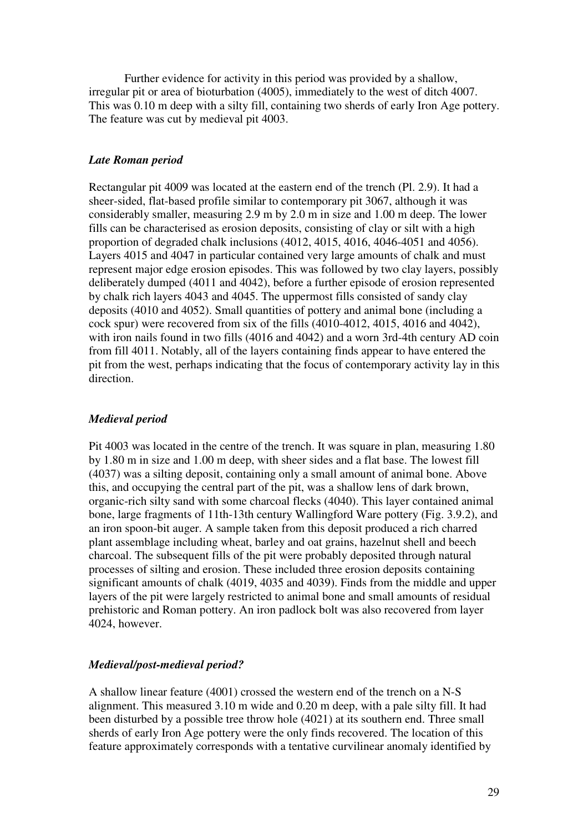Further evidence for activity in this period was provided by a shallow, irregular pit or area of bioturbation (4005), immediately to the west of ditch 4007. This was 0.10 m deep with a silty fill, containing two sherds of early Iron Age pottery. The feature was cut by medieval pit 4003.

### *Late Roman period*

Rectangular pit 4009 was located at the eastern end of the trench (Pl. 2.9). It had a sheer-sided, flat-based profile similar to contemporary pit 3067, although it was considerably smaller, measuring 2.9 m by 2.0 m in size and 1.00 m deep. The lower fills can be characterised as erosion deposits, consisting of clay or silt with a high proportion of degraded chalk inclusions (4012, 4015, 4016, 4046-4051 and 4056). Layers 4015 and 4047 in particular contained very large amounts of chalk and must represent major edge erosion episodes. This was followed by two clay layers, possibly deliberately dumped (4011 and 4042), before a further episode of erosion represented by chalk rich layers 4043 and 4045. The uppermost fills consisted of sandy clay deposits (4010 and 4052). Small quantities of pottery and animal bone (including a cock spur) were recovered from six of the fills (4010-4012, 4015, 4016 and 4042), with iron nails found in two fills (4016 and 4042) and a worn 3rd-4th century AD coin from fill 4011. Notably, all of the layers containing finds appear to have entered the pit from the west, perhaps indicating that the focus of contemporary activity lay in this direction.

### *Medieval period*

Pit 4003 was located in the centre of the trench. It was square in plan, measuring 1.80 by 1.80 m in size and 1.00 m deep, with sheer sides and a flat base. The lowest fill (4037) was a silting deposit, containing only a small amount of animal bone. Above this, and occupying the central part of the pit, was a shallow lens of dark brown, organic-rich silty sand with some charcoal flecks (4040). This layer contained animal bone, large fragments of 11th-13th century Wallingford Ware pottery (Fig. 3.9.2), and an iron spoon-bit auger. A sample taken from this deposit produced a rich charred plant assemblage including wheat, barley and oat grains, hazelnut shell and beech charcoal. The subsequent fills of the pit were probably deposited through natural processes of silting and erosion. These included three erosion deposits containing significant amounts of chalk (4019, 4035 and 4039). Finds from the middle and upper layers of the pit were largely restricted to animal bone and small amounts of residual prehistoric and Roman pottery. An iron padlock bolt was also recovered from layer 4024, however.

### *Medieval/post-medieval period?*

A shallow linear feature (4001) crossed the western end of the trench on a N-S alignment. This measured 3.10 m wide and 0.20 m deep, with a pale silty fill. It had been disturbed by a possible tree throw hole (4021) at its southern end. Three small sherds of early Iron Age pottery were the only finds recovered. The location of this feature approximately corresponds with a tentative curvilinear anomaly identified by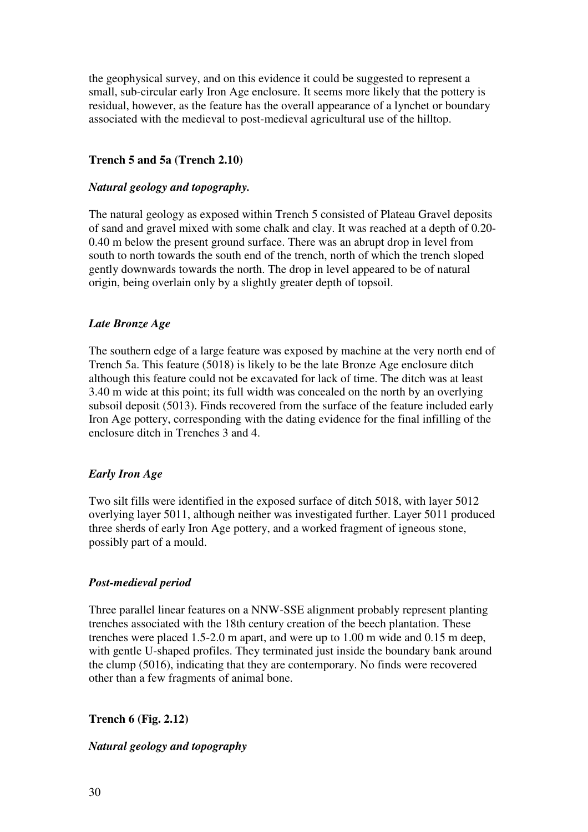the geophysical survey, and on this evidence it could be suggested to represent a small, sub-circular early Iron Age enclosure. It seems more likely that the pottery is residual, however, as the feature has the overall appearance of a lynchet or boundary associated with the medieval to post-medieval agricultural use of the hilltop.

# **Trench 5 and 5a (Trench 2.10)**

# *Natural geology and topography.*

The natural geology as exposed within Trench 5 consisted of Plateau Gravel deposits of sand and gravel mixed with some chalk and clay. It was reached at a depth of 0.20- 0.40 m below the present ground surface. There was an abrupt drop in level from south to north towards the south end of the trench, north of which the trench sloped gently downwards towards the north. The drop in level appeared to be of natural origin, being overlain only by a slightly greater depth of topsoil.

# *Late Bronze Age*

The southern edge of a large feature was exposed by machine at the very north end of Trench 5a. This feature (5018) is likely to be the late Bronze Age enclosure ditch although this feature could not be excavated for lack of time. The ditch was at least 3.40 m wide at this point; its full width was concealed on the north by an overlying subsoil deposit (5013). Finds recovered from the surface of the feature included early Iron Age pottery, corresponding with the dating evidence for the final infilling of the enclosure ditch in Trenches 3 and 4.

#### *Early Iron Age*

Two silt fills were identified in the exposed surface of ditch 5018, with layer 5012 overlying layer 5011, although neither was investigated further. Layer 5011 produced three sherds of early Iron Age pottery, and a worked fragment of igneous stone, possibly part of a mould.

#### *Post-medieval period*

Three parallel linear features on a NNW-SSE alignment probably represent planting trenches associated with the 18th century creation of the beech plantation. These trenches were placed 1.5-2.0 m apart, and were up to 1.00 m wide and 0.15 m deep, with gentle U-shaped profiles. They terminated just inside the boundary bank around the clump (5016), indicating that they are contemporary. No finds were recovered other than a few fragments of animal bone.

# **Trench 6 (Fig. 2.12)**

# *Natural geology and topography*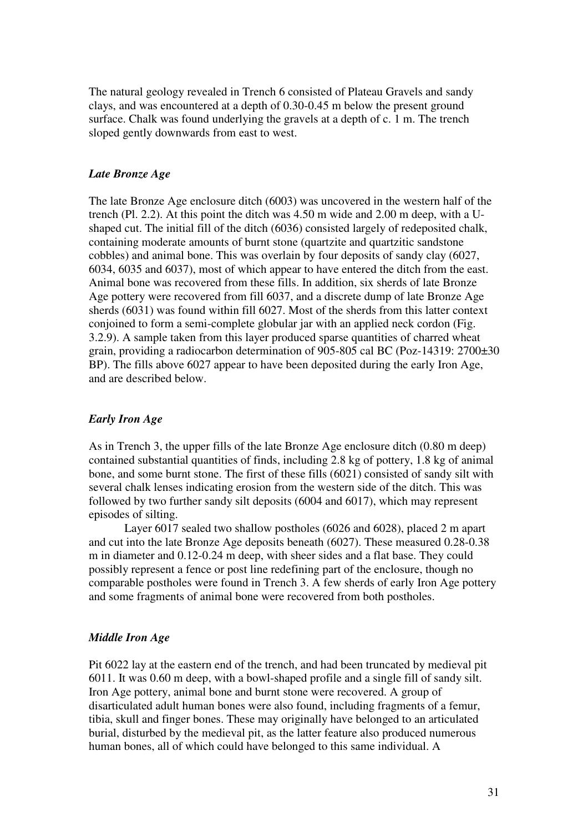The natural geology revealed in Trench 6 consisted of Plateau Gravels and sandy clays, and was encountered at a depth of 0.30-0.45 m below the present ground surface. Chalk was found underlying the gravels at a depth of c. 1 m. The trench sloped gently downwards from east to west.

# *Late Bronze Age*

The late Bronze Age enclosure ditch (6003) was uncovered in the western half of the trench (Pl. 2.2). At this point the ditch was 4.50 m wide and 2.00 m deep, with a Ushaped cut. The initial fill of the ditch (6036) consisted largely of redeposited chalk, containing moderate amounts of burnt stone (quartzite and quartzitic sandstone cobbles) and animal bone. This was overlain by four deposits of sandy clay (6027, 6034, 6035 and 6037), most of which appear to have entered the ditch from the east. Animal bone was recovered from these fills. In addition, six sherds of late Bronze Age pottery were recovered from fill 6037, and a discrete dump of late Bronze Age sherds (6031) was found within fill 6027. Most of the sherds from this latter context conjoined to form a semi-complete globular jar with an applied neck cordon (Fig. 3.2.9). A sample taken from this layer produced sparse quantities of charred wheat grain, providing a radiocarbon determination of 905-805 cal BC (Poz-14319: 2700±30 BP). The fills above 6027 appear to have been deposited during the early Iron Age, and are described below.

# *Early Iron Age*

As in Trench 3, the upper fills of the late Bronze Age enclosure ditch (0.80 m deep) contained substantial quantities of finds, including 2.8 kg of pottery, 1.8 kg of animal bone, and some burnt stone. The first of these fills (6021) consisted of sandy silt with several chalk lenses indicating erosion from the western side of the ditch. This was followed by two further sandy silt deposits (6004 and 6017), which may represent episodes of silting.

Layer 6017 sealed two shallow postholes (6026 and 6028), placed 2 m apart and cut into the late Bronze Age deposits beneath (6027). These measured 0.28-0.38 m in diameter and 0.12-0.24 m deep, with sheer sides and a flat base. They could possibly represent a fence or post line redefining part of the enclosure, though no comparable postholes were found in Trench 3. A few sherds of early Iron Age pottery and some fragments of animal bone were recovered from both postholes.

#### *Middle Iron Age*

Pit 6022 lay at the eastern end of the trench, and had been truncated by medieval pit 6011. It was 0.60 m deep, with a bowl-shaped profile and a single fill of sandy silt. Iron Age pottery, animal bone and burnt stone were recovered. A group of disarticulated adult human bones were also found, including fragments of a femur, tibia, skull and finger bones. These may originally have belonged to an articulated burial, disturbed by the medieval pit, as the latter feature also produced numerous human bones, all of which could have belonged to this same individual. A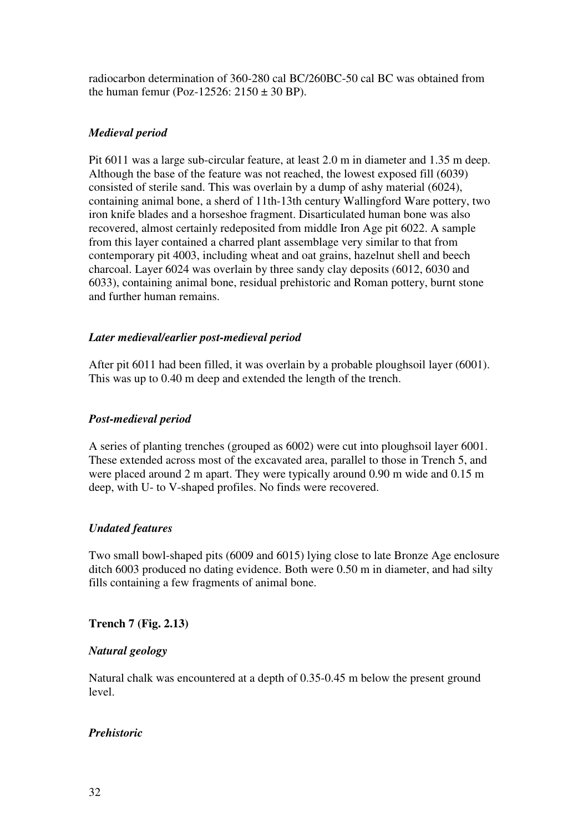radiocarbon determination of 360-280 cal BC/260BC-50 cal BC was obtained from the human femur (Poz-12526:  $2150 \pm 30$  BP).

# *Medieval period*

Pit 6011 was a large sub-circular feature, at least 2.0 m in diameter and 1.35 m deep. Although the base of the feature was not reached, the lowest exposed fill (6039) consisted of sterile sand. This was overlain by a dump of ashy material (6024), containing animal bone, a sherd of 11th-13th century Wallingford Ware pottery, two iron knife blades and a horseshoe fragment. Disarticulated human bone was also recovered, almost certainly redeposited from middle Iron Age pit 6022. A sample from this layer contained a charred plant assemblage very similar to that from contemporary pit 4003, including wheat and oat grains, hazelnut shell and beech charcoal. Layer 6024 was overlain by three sandy clay deposits (6012, 6030 and 6033), containing animal bone, residual prehistoric and Roman pottery, burnt stone and further human remains.

# *Later medieval/earlier post-medieval period*

After pit 6011 had been filled, it was overlain by a probable ploughsoil layer (6001). This was up to 0.40 m deep and extended the length of the trench.

# *Post-medieval period*

A series of planting trenches (grouped as 6002) were cut into ploughsoil layer 6001. These extended across most of the excavated area, parallel to those in Trench 5, and were placed around 2 m apart. They were typically around 0.90 m wide and 0.15 m deep, with U- to V-shaped profiles. No finds were recovered.

# *Undated features*

Two small bowl-shaped pits (6009 and 6015) lying close to late Bronze Age enclosure ditch 6003 produced no dating evidence. Both were 0.50 m in diameter, and had silty fills containing a few fragments of animal bone.

**Trench 7 (Fig. 2.13)** 

# *Natural geology*

Natural chalk was encountered at a depth of 0.35-0.45 m below the present ground level.

# *Prehistoric*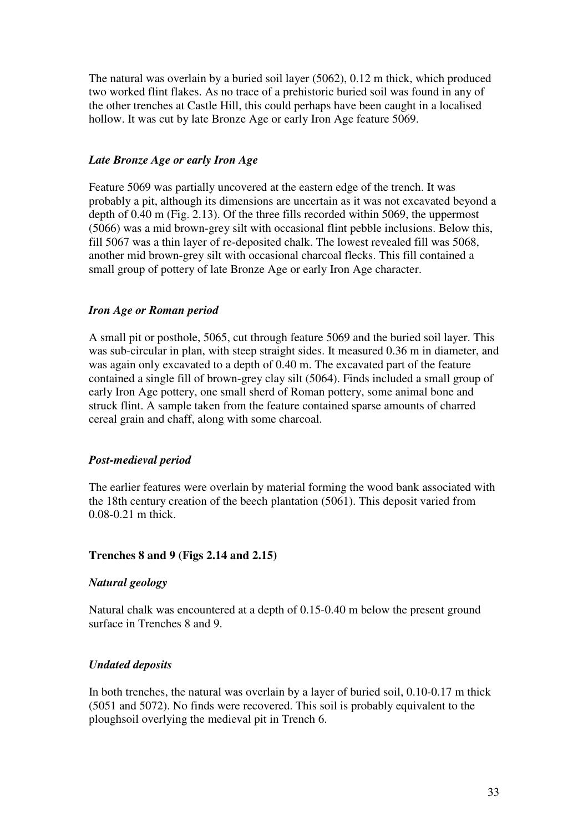The natural was overlain by a buried soil layer (5062), 0.12 m thick, which produced two worked flint flakes. As no trace of a prehistoric buried soil was found in any of the other trenches at Castle Hill, this could perhaps have been caught in a localised hollow. It was cut by late Bronze Age or early Iron Age feature 5069.

# *Late Bronze Age or early Iron Age*

Feature 5069 was partially uncovered at the eastern edge of the trench. It was probably a pit, although its dimensions are uncertain as it was not excavated beyond a depth of 0.40 m (Fig. 2.13). Of the three fills recorded within 5069, the uppermost (5066) was a mid brown-grey silt with occasional flint pebble inclusions. Below this, fill 5067 was a thin layer of re-deposited chalk. The lowest revealed fill was 5068, another mid brown-grey silt with occasional charcoal flecks. This fill contained a small group of pottery of late Bronze Age or early Iron Age character.

# *Iron Age or Roman period*

A small pit or posthole, 5065, cut through feature 5069 and the buried soil layer. This was sub-circular in plan, with steep straight sides. It measured 0.36 m in diameter, and was again only excavated to a depth of 0.40 m. The excavated part of the feature contained a single fill of brown-grey clay silt (5064). Finds included a small group of early Iron Age pottery, one small sherd of Roman pottery, some animal bone and struck flint. A sample taken from the feature contained sparse amounts of charred cereal grain and chaff, along with some charcoal.

# *Post-medieval period*

The earlier features were overlain by material forming the wood bank associated with the 18th century creation of the beech plantation (5061). This deposit varied from 0.08-0.21 m thick.

# **Trenches 8 and 9 (Figs 2.14 and 2.15)**

# *Natural geology*

Natural chalk was encountered at a depth of 0.15-0.40 m below the present ground surface in Trenches 8 and 9.

# *Undated deposits*

In both trenches, the natural was overlain by a layer of buried soil, 0.10-0.17 m thick (5051 and 5072). No finds were recovered. This soil is probably equivalent to the ploughsoil overlying the medieval pit in Trench 6.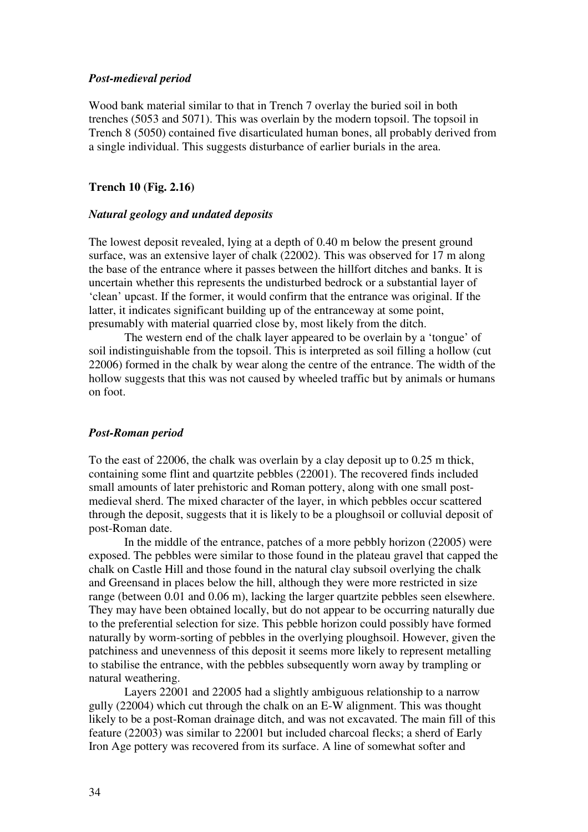### *Post-medieval period*

Wood bank material similar to that in Trench 7 overlay the buried soil in both trenches (5053 and 5071). This was overlain by the modern topsoil. The topsoil in Trench 8 (5050) contained five disarticulated human bones, all probably derived from a single individual. This suggests disturbance of earlier burials in the area.

### **Trench 10 (Fig. 2.16)**

#### *Natural geology and undated deposits*

The lowest deposit revealed, lying at a depth of 0.40 m below the present ground surface, was an extensive layer of chalk (22002). This was observed for 17 m along the base of the entrance where it passes between the hillfort ditches and banks. It is uncertain whether this represents the undisturbed bedrock or a substantial layer of 'clean' upcast. If the former, it would confirm that the entrance was original. If the latter, it indicates significant building up of the entranceway at some point, presumably with material quarried close by, most likely from the ditch.

The western end of the chalk layer appeared to be overlain by a 'tongue' of soil indistinguishable from the topsoil. This is interpreted as soil filling a hollow (cut 22006) formed in the chalk by wear along the centre of the entrance. The width of the hollow suggests that this was not caused by wheeled traffic but by animals or humans on foot.

#### *Post-Roman period*

To the east of 22006, the chalk was overlain by a clay deposit up to 0.25 m thick, containing some flint and quartzite pebbles (22001). The recovered finds included small amounts of later prehistoric and Roman pottery, along with one small postmedieval sherd. The mixed character of the layer, in which pebbles occur scattered through the deposit, suggests that it is likely to be a ploughsoil or colluvial deposit of post-Roman date.

In the middle of the entrance, patches of a more pebbly horizon (22005) were exposed. The pebbles were similar to those found in the plateau gravel that capped the chalk on Castle Hill and those found in the natural clay subsoil overlying the chalk and Greensand in places below the hill, although they were more restricted in size range (between 0.01 and 0.06 m), lacking the larger quartzite pebbles seen elsewhere. They may have been obtained locally, but do not appear to be occurring naturally due to the preferential selection for size. This pebble horizon could possibly have formed naturally by worm-sorting of pebbles in the overlying ploughsoil. However, given the patchiness and unevenness of this deposit it seems more likely to represent metalling to stabilise the entrance, with the pebbles subsequently worn away by trampling or natural weathering.

Layers 22001 and 22005 had a slightly ambiguous relationship to a narrow gully (22004) which cut through the chalk on an E-W alignment. This was thought likely to be a post-Roman drainage ditch, and was not excavated. The main fill of this feature (22003) was similar to 22001 but included charcoal flecks; a sherd of Early Iron Age pottery was recovered from its surface. A line of somewhat softer and